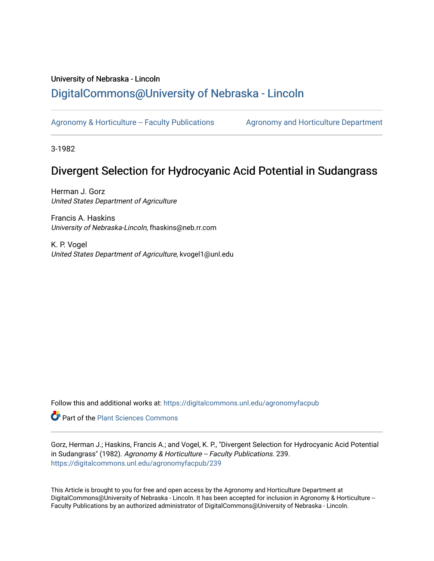# University of Nebraska - Lincoln [DigitalCommons@University of Nebraska - Lincoln](https://digitalcommons.unl.edu/)

[Agronomy & Horticulture -- Faculty Publications](https://digitalcommons.unl.edu/agronomyfacpub) Agronomy and Horticulture Department

3-1982

# Divergent Selection for Hydrocyanic Acid Potential in Sudangrass

Herman J. Gorz United States Department of Agriculture

Francis A. Haskins University of Nebraska-Lincoln, fhaskins@neb.rr.com

K. P. Vogel United States Department of Agriculture, kvogel1@unl.edu

Follow this and additional works at: [https://digitalcommons.unl.edu/agronomyfacpub](https://digitalcommons.unl.edu/agronomyfacpub?utm_source=digitalcommons.unl.edu%2Fagronomyfacpub%2F239&utm_medium=PDF&utm_campaign=PDFCoverPages)

**C** Part of the [Plant Sciences Commons](http://network.bepress.com/hgg/discipline/102?utm_source=digitalcommons.unl.edu%2Fagronomyfacpub%2F239&utm_medium=PDF&utm_campaign=PDFCoverPages)

Gorz, Herman J.; Haskins, Francis A.; and Vogel, K. P., "Divergent Selection for Hydrocyanic Acid Potential in Sudangrass" (1982). Agronomy & Horticulture -- Faculty Publications. 239. [https://digitalcommons.unl.edu/agronomyfacpub/239](https://digitalcommons.unl.edu/agronomyfacpub/239?utm_source=digitalcommons.unl.edu%2Fagronomyfacpub%2F239&utm_medium=PDF&utm_campaign=PDFCoverPages)

This Article is brought to you for free and open access by the Agronomy and Horticulture Department at DigitalCommons@University of Nebraska - Lincoln. It has been accepted for inclusion in Agronomy & Horticulture --Faculty Publications by an authorized administrator of DigitalCommons@University of Nebraska - Lincoln.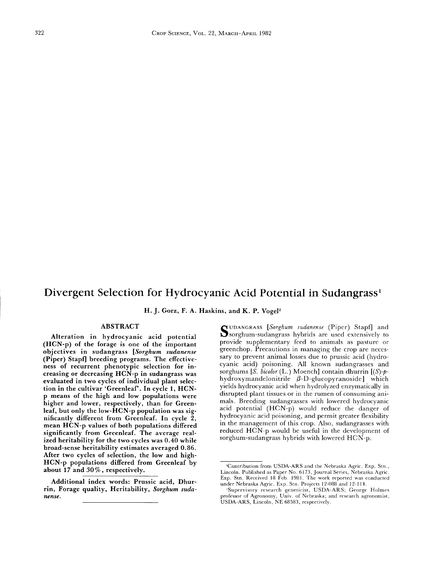## **Divergent Selection for Hydrocyanic Acid Potential in** Sudangrass'

H. J. Gorz, F. A. Haskins, and K. P. Vogel<sup>2</sup>

### ABSTRACT

Alteration in hydrocyanic acid potential (HCN-p) of the forage is one of the important objectives in sudangrass *[Sorghum sudanense* (Piper) Stapf] breeding programs. The effectiveness of recurrent phenotypic selection for increasing or decreasing HCN-p in sudangrass was evaluated in two cycles of individual plant selection in the cultivar 'Greenleaf'. **In** cycle 1, HCN-P means of the high and low populations were higher and lower, respectively, than for Greenleaf, but only the low-HCN-p population was significantly different from Greenleaf. **In** cycle 2, mean HCN-p values of both populations differed significantly from Greenleaf. The average realized heritability for the two cycles was 0.40 while broad-sense heritability estimates averaged 0.86. After two cycles of selection, the low and high-HCN-p populations differed from Greenleaf by about 17 and 30%, respectively.

Additional index words: Prussic acid, Dhurrin, Forage quality, Heritability, *Sorghum sudanense.*

SU D A N G R A S S *[Sorghum sudanense* (Piper) Stapf] and Sorghum-sudangrass hybrids are used extensively to provide supplementary feed to animals as pasture or greenchop. Precautions in managing the crop are necessary to prevent animal losses due to prussic acid (hydrocyanic acid) poisoning. All known sudangrasses and sorghums [S. *bicolor* (L.) Moench] contain dhurrin [(S)-phydroxymandelonitrile  $\beta$ -D-glucopyranoside] which yields hydrocyanic acid when hydrolyzed enzymatically in disrupted plant tissues or in the rumen of consuming animals. Breeding sudangrasses with lowered hydrocyanic acid potential (HCN-p) would reduce the danger of hydrocyanic acid poisoning, and permit greater flexibility in the management of this crop. Also, sudangrasses with reduced HCN-p would be useful in the development of sorghum-sudangrass hybrids with lowered HCN-p.

<sup>&#</sup>x27;Contribution from USDA-ARS and the Nebraska Agric. Exp. Stn., Lincoln. Published as Paper No. 6173, Journal Series, Nebraska Agric.<br>Exp. Stn. Received 18 Feb. 1981. The work reported was conducted under Nebraska Agric. Exp. Stn. Projects 12-088 and 12-114.

<sup>&#</sup>x27;Supervisory research geneticist, USDA-ARS; George Holmes professor of Agronomy, Univ. of Nebraska; and research agronomist, USDA-ARS, Lincoln, NE 68583, respectively.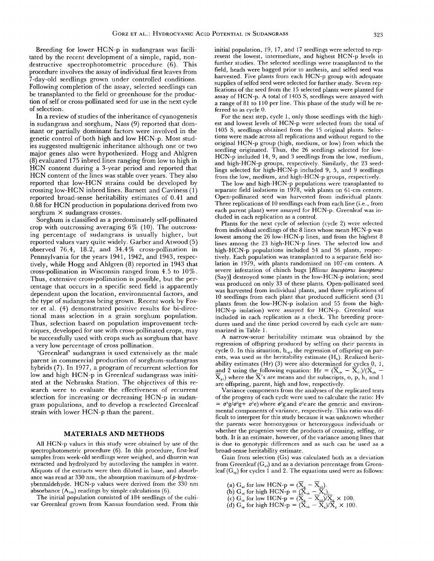Breeding for lower HCN-p in sudangrass was facilitated by the recent development of a simple, rapid, nondestructive spectrophotometric procedure (6). This procedure involves the assay of individual first leaves from 7-day-old seedlings grown under controlled conditions. Following completion of the assay, selected seedlings can be transplanted to the field or greenhouse for the production of self or cross-pollinated seed for use in the next cycle of selection.

In a review of studies of the inheritance of cyanogenesis in sudangrass and sorghum, Nass (9) reported that dominant or partially dominant factors were involved in the genetic control of both high and low HCN-p. Most studies suggested multigenic inheritance although one or two major genes also were hypothesized. Hogg and Ahlgren (8) evaluated 175 inbred lines ranging from low to high in HCN content during a 3-year period and reported that HCN content of the lines was stable over years. They also reported that low-HCN strains could be developed by crossing low-HCN inbred lines. Barnett and Caviness (1) reported broad-sense heritability estimates of 0.41 and 0.68 for HCN production in populations derived from two sorghum X sudangrass crosses.

Sorghum is classified as a predominately self-pollinated crop with outcrossing averaging 6% (10). The outcrossing percentage of sudangrass is usually higher, but reported values vary quite widely. Garber and Atwood (5) observed 76.4, 18.2, and 34.4% cross-pollination in Pennsylvania for the years 1941, 1942, and 1943, respectively, while Hogg and Ahlgren (8) reported in 1943 that cross-pollination in Wisconsin ranged from 4.5 to 10%. Thus, extensive cross-pollination is possible, but the percentage that occurs in a specific seed field is apparently dependent upon the location, environmental factors, and the type of sudangrass being grown. Recent work by Foster et al. (4) demonstrated positive results for bi-directional mass selection in a grain sorghum population. Thus, selection based on population improvement techniques, developed for use with cross-pollinated crops, may be successfully used with crops such as sorghum that have a very low percentage of cross pollination.

'Greenleaf' sudangrass is used extensively as the male parent in commercial production of sorghum-sudangrass hybrids (7). In 1977, a program of recurrent selection for low and high HCN-p in Greenleaf sudangrass was initiated at the Nebraska Station. The objectives of this research were to evaluate the effectiveness of recurrent selection for increasing or decreasing HCN-p in sudangrass populations, and to develop a reselected Greenleaf strain with lower HCN-p than the parent.

### MATERIALS AND METHODS

All HCN-p values in this study were obtained by use of the spectrophotometric procedure (6). In this procedure, first-leaf samples from week-old seedlings were weighed, and dhurrin was extracted and hydrolyzed by autoclaving the samples in water. Aliquots of the extracts were then diluted in base, and absorbance was read at  $330$  nm, the absorption maximum of  $p$ -hydroxybenzaldehyde. HCN-p values were derived from the 330 nm absorbance  $(A_{330})$  readings by simple calculations (6).

The initial population consisted of 184 seedlings of the cultivar Greenleaf grown from Kansas foundation seed. From this initial population, 19, 17, and 17 seedlings were selected to represent the lowest, intermediate, and highest HCN-p levels in further studies. The selected seedlings were transplanted to the field, heads were bagged prior to anthesis, and selfed seed was harvested. Five plants from each HCN-p group with adequate supplies of selfed seed were selected for further study. Seven replications of the seed from the 15 selected plants were planted for assay of HCN-p. A total of 1405 S, seedlings were assayed with a range of 81 to 110 per line. This phase of the study will be referred to as cycle O.

For the next step, cycle 1, only those seedlings with the highest and lowest levels of HCN-p were selected from the total of 1405 S, seedlings obtained from the 15 original plants. Selections were made across all replications and without regard to the original HCN-p group (high, medium, or low) from which the seedling originated. Thus, the 26 seedlings selected for low-HCN-p included 14, 9, and 3 seedlings from the low, medium, and high-HCN-p groups, respectively. Similarly, the 23 seedlings selected for high-HCN-p included 9, 5, and 9 seedlings from the low, medium, and high-HCN-p groups, respectively.

The low and high-HCN-p populations were transplanted to separate field isolations in 1978, with plants on 61-cm centers. Open-pollinated seed was harvested from individual plants. Three replications of 10 seedlings each from each line (i.e., from each parent plant) were assayed for HCN-p. Greenleaf was included in each replication as a control.

Plants for the next cycle of selection (cycle 2) were selected from individual seedlings of the 8 lines whose mean HCN-p was lowest among the 26 low-HCN-p lines, and from the highest 8 lines among the 23 high-HCN-p lines. The selected low and high-HCN-p populations included 54 and 56 plants, respectively. Each population was transplanted to a separate field isolation in 1979, with plants randomized on 107-cm centers. A severe infestation of chinch bugs *[Blissus leucopterus leucopterus* (Say)] destroyed some plants in the low-HCN-p isolation; seed was produced on only 33 of these plants. Open-pollinated seed was harvested from individual plants, and three replications of 10 seedlings from each plant that produced sufficient seed (31 plants from the low-HCN-p isolation and 55 from the high-HCN-p isolation) were assayed for HCN-p. Greenleaf was included in each replication as a check. The breeding procedures used and the time period covered by each cycle are summarized in Table 1.

A narrow-sense heritability estimate was obtained by the regression of offspring produced by selfing on their parents in cycle 0. In this situation,  $b_{op}$ , the regression of offspring on parents, was used as the heritability estimate  $(H<sub>h</sub>)$ . Realized heritability estimates (Hr)  $(3)$  were also determined for cycles  $0, 1,$ and 2 using the following equation: Hr =  $(\overline{X}_{oh} - \overline{X}_{ol})/(\overline{X}_{ph} - \overline{X}_{ol})$  $X_{\text{pl}}$ ) where the X's are means and the subscripts, o, p, h, and 1 are offspring, parent, high and low, respectively.

Variance components from the analyses of the replicated tests of the progeny of each cycle were used to calculate the ratio: Hv  $= \sigma^2 g / \sigma^2 g + \sigma^2 e$ ) where  $\sigma^2 g$  and  $\sigma^2 e$  are the genetic and environmental components of variance, respectively. This ratio was difficult to interpret for this study because it was unknown whether the parents were homozygous or heterozygous individuals or whether the progenies were the products of crossing, selfing, or both. It is an estimate, however, of the variance among lines that is due to genotypic differences and as such can be used as a broad-sense heritability estimate.

Gain from selection (Gs) was calculated both as a deviation from Greenleaf  $(G_{ul})$  and as a deviation percentage from Greenleaf  $(G_{sp})$  for cycles 1 and 2. The equations used were as follows:

- (a)  $G_{sd}$  for low HCN- $p = (X_g X_{ol}).$
- (b)  $G_{sd}$  for high HCN-p =  $\overline{(X}_{ch} \overline{X}_{g})$ .<br>
(c)  $G_{sp}$  for low HCN-p =  $\overline{(X}_{g} \overline{X}_{gl})/\overline{X}_{g} \times 100$ .
- 
- (d)  $\mathrm{G}_{_{\mathrm{sp}}}$  for high HCN-p =  $(\mathrm{X}_{_{\mathrm{oh}}} \mathrm{X}_{_{\mathrm{g}}})/\overline{\mathrm{X}}_{_{\mathrm{g}}} \times$  100.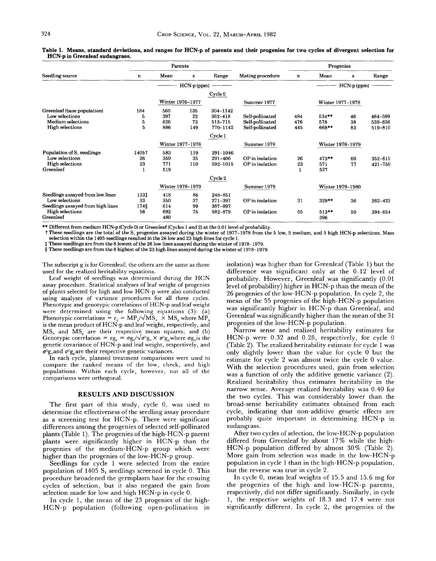|                                        |       | Parents          |                  |             |                  |              | Progenies        |             |         |
|----------------------------------------|-------|------------------|------------------|-------------|------------------|--------------|------------------|-------------|---------|
| Seedling source                        | n     | Mean             | s                | Range       | Mating procedure | n            | Mean             | s           | Range   |
|                                        |       |                  | HCN-p (ppm)      |             |                  |              |                  | HCN-p (ppm) |         |
|                                        |       |                  |                  | Cycle 0     |                  |              |                  |             |         |
|                                        |       | Winter 1976-1977 |                  |             | Summer 1977      |              | Winter 1977-1978 |             |         |
| Greenleaf (base population)            | 184   | 560              | 135              | 304-1142    |                  |              |                  |             |         |
| Low selections                         | 5     | 397              | 22               | 362-418     | Self-pollinated  | 484          | $534***$         | 46          | 484-599 |
| Medium selections                      | 5     | 626              | 73               | 513-715     | Self-pollinated  | 476          | 578              | 38          | 539-636 |
| High selections                        | 5     | 886              | 149              | 770-1142    | Self-pollinated  | 445          | $668**$          | 83          | 519-810 |
|                                        |       |                  |                  | Cycle 1     |                  |              |                  |             |         |
|                                        |       |                  | Winter 1977-1978 |             | Summer 1978      |              | Winter 1978-1979 |             |         |
| Population of S <sub>1</sub> seedlings | 1405† | 583              | 119              | 291-1046    |                  |              |                  |             |         |
| Low selections                         | 26    | 359              | 35               | $291 - 406$ | OP in isolation  | 26           | $473**$          | 60          | 352-615 |
| <b>High selections</b>                 | 23    | 771              | 110              | 592-1015    | OP in isolation  | 23           | 571              | 77          | 421-750 |
| Greenleaf                              |       | 519              |                  |             |                  | $\mathbf{1}$ | 537              |             |         |
|                                        |       |                  |                  | Cycle 2     |                  |              |                  |             |         |
|                                        |       |                  | Winter 1978-1979 |             | Summer 1979      |              | Winter 1979-1980 |             |         |
| Seedlings assayed from low lines       | 1331  | 418              | 86               | 248-851     |                  |              |                  |             |         |
| Low selections                         | 33    | 350              | 37               | 271-397     | OP in isolation  | 31           | 329**            | 36          | 262-422 |
| Seedlings assayed from high lines      | 1748  | 614              | 99               | 387-897     |                  |              |                  |             |         |
| <b>High selections</b>                 | 56    | 692              | 75               | 582-879     | OP in isolation  | 55           | $513**$          | 50          | 394-654 |
| Greenleaf                              |       | 480              |                  |             |                  |              | 396              |             |         |

Table 1. Means, standard deviations, and ranges for HCN·p of parents and their progenies for two cycles of divergent selection for HCN·p in Greenleaf sudangrass.

\*\* Different from medium HCN-p (Cycle 0) or Greenleaf (Cycles 1 and 2) at the 0.01 level of probability.

t These seedlings are the total of the S, progenies assayed during the winter of 1977-1978 from the 5 low, 5 medium, and 5 high HCN-p selections. Mass selection within the 1405 seedlings resulted in the 26 low and 23 high lines for cycle 1.

t These seedlings are from the 8 lowest of the 26 low lines assayed during the winter of 1978-1979.

§ These seedlings are from the 8 highest of the 23 high lines assayed during the winter of 1978-1979.

The subscript g is for Greenleaf; the others are the same as those used for the realized heritability equations.

Leaf weight of seedlings was determined during the HCN assay procedure. Statistical analyses of leaf weight of progenies of plants selected for high and low HCN-p were also conducted using analyses of variance procedures for all three cycles. Phenotypic and genotypic correlations of HCN-p and leaf weight were determined using the following equations (3): (a) Phenotypic correlations =  $r_{ij} = MP_{ij}/\sqrt{MS_{ii}} \times MS_{jj}$  where  $MP_{ij}$ is the mean product of HCN-p and leaf weight, respectively, and  $MS_{ii}$  and  $MS_{ii}$  are their respective mean squares; and (b) Genotypic correlation =  $\text{rg}_{ii} = \sigma \text{g}_{ii}/\sqrt{\sigma^2 \text{g}_{ii}} \times \sigma^2 \text{g}_{ii}$  where  $\sigma \text{g}_{ii}$  is the genetic covariance of HCN-p and leaf weight, respectively, and  $\sigma^2$ g<sub>ii</sub>and  $\sigma^2$ g<sub>ii</sub>are their respective genetic variances.

In each cycle, planned treatment comparisons were used to compare the ranked means of the low, check, and high populations. Within each cycle, however, not all of the comparisons were orthogonal.

#### RESULTS AND DISCUSSION

The first part of this study, cycle 0, was used to determine the effectiveness of the seedling assay procedure as a screening test for HCN-p. There were significant differences among the progenies of selected self-pollinated plants (Table 1). The progenies of the high-HCN-p parent plants were significantly higher in HCN-p than the progenies of the medium-HCN-p group which were higher than the progenies of the low-HCN-p group.

Seedlings for cycle 1 were selected from the entire population of 1405  $S<sub>1</sub>$  seedlings screened in cycle 0. This procedure broadened the germplasm base for the ensuing cycles of selection, but it also negated the gain from selection made for low and high HCN-p in cycle O.

In cycle 1, the mean of the 23 progenies of the high-HCN-p population (following open-pollination in isolation) was higher than for Greenleaf (Table 1) but the difference was significant only at the 0.12 level of probability. However, Greenleaf was significantly (0.01 level of probability) higher in HCN-p than the mean of the 26 progenies of the low-HCN-p population. In cycle 2, the mean of the 55 progenies of the high-HCN-p population was significantly higher in HCN-p than Greenleaf, and Greenleaf was significantly higher than the mean of the 31 progenies of the low-HCN-p population.

Narrow sense and realized heritability estimates for HCN-p were 0.32 and 0.28, respectively, for cycle 0 (Table 2). The realized heritability estimate for cycle 1 was only slightly lower than the value for cycle 0 but the estimate for cycle 2 was almost twice the cycle 0 value. With the selection procedures used, gain from selection was a function of only the additive genetic variance (2). Realized heritability thus estimates heritability in the narrow sense. Average realized heritability was 0.40 for the two cycles. This was considerably lower than the broad-sense heritability estimates obtained from each cycle, indicating that non-additive genetic effects are probably quite important in determining HCN-p in sudangrass.

After two cycles of selection, the low-HCN-p population differed from Greenleaf by about 17% while the high-HCN-p population differed by almost 30% (Table 2). More gain from selection was made in the low-HCN-p population in cycle 1 than in the high-HCN-p population, but the reverse was true in cycle 2.

In cycle 0, mean leaf weights of 15.5 and 15.6 mg for the progenies of the high and low-HCN-p parents, respectively, did not differ significantly. Similarly, in cycle 1, the respective weights of 18.3 and 17.4 were not significantly different. In cycle 2, the progenies of the